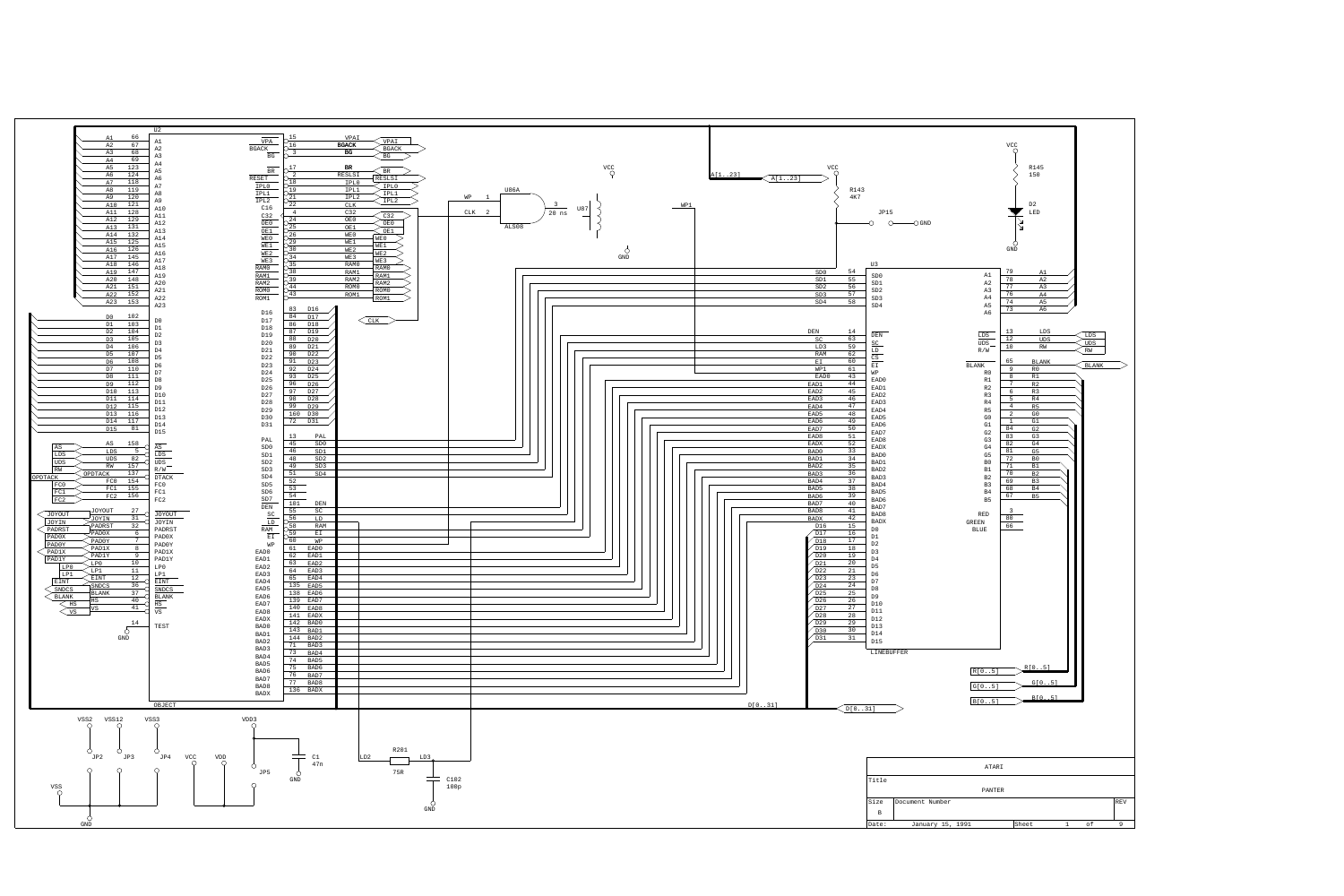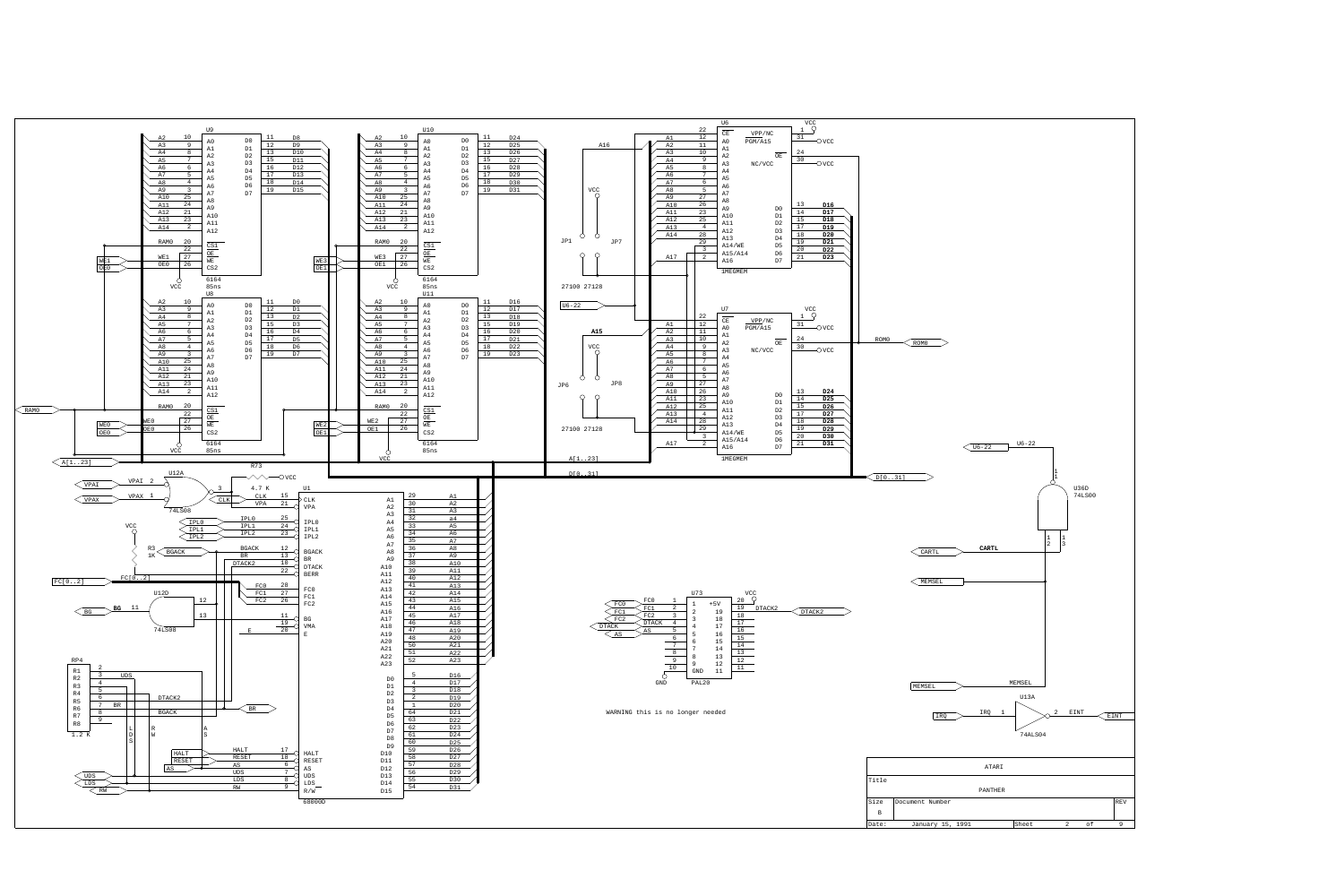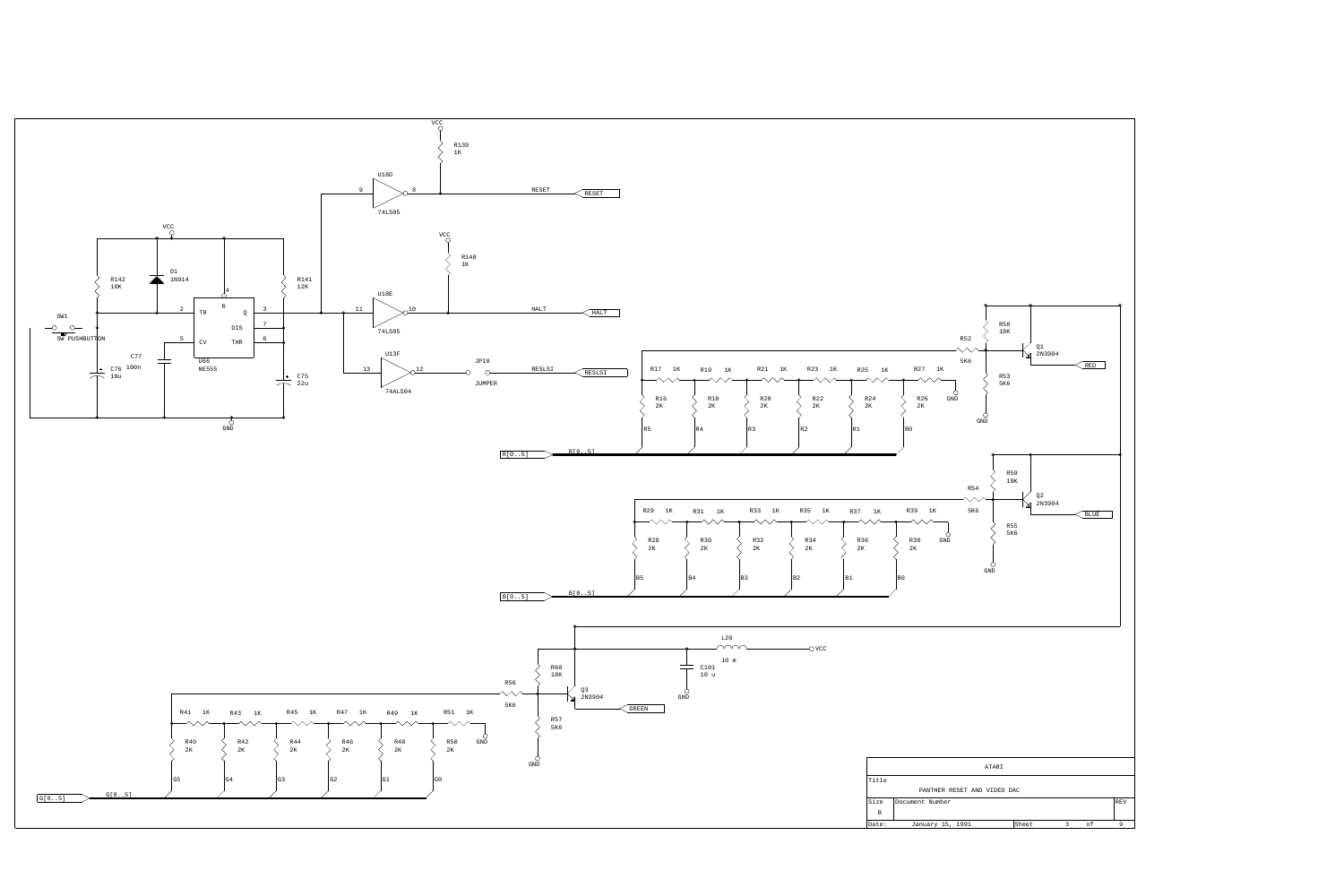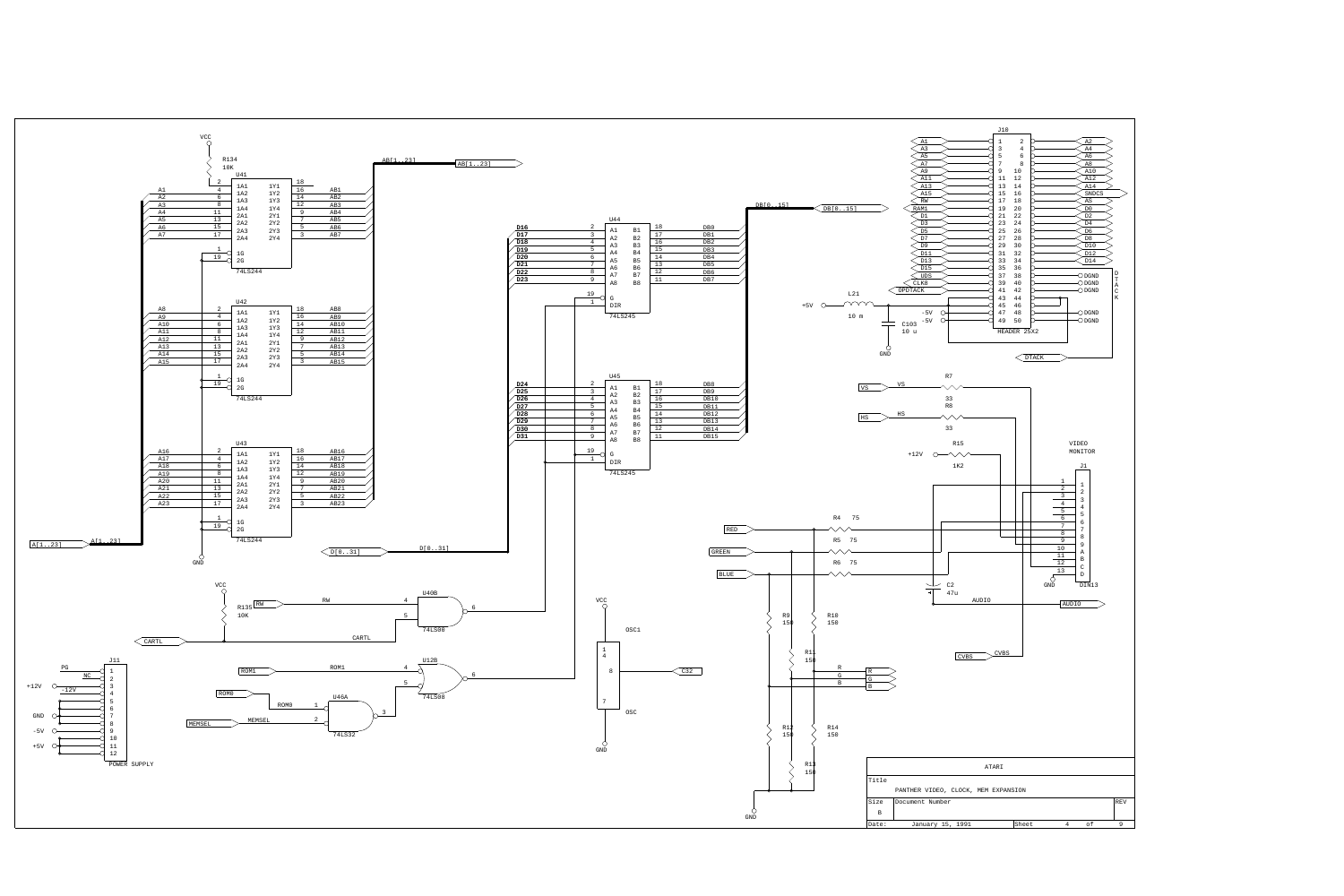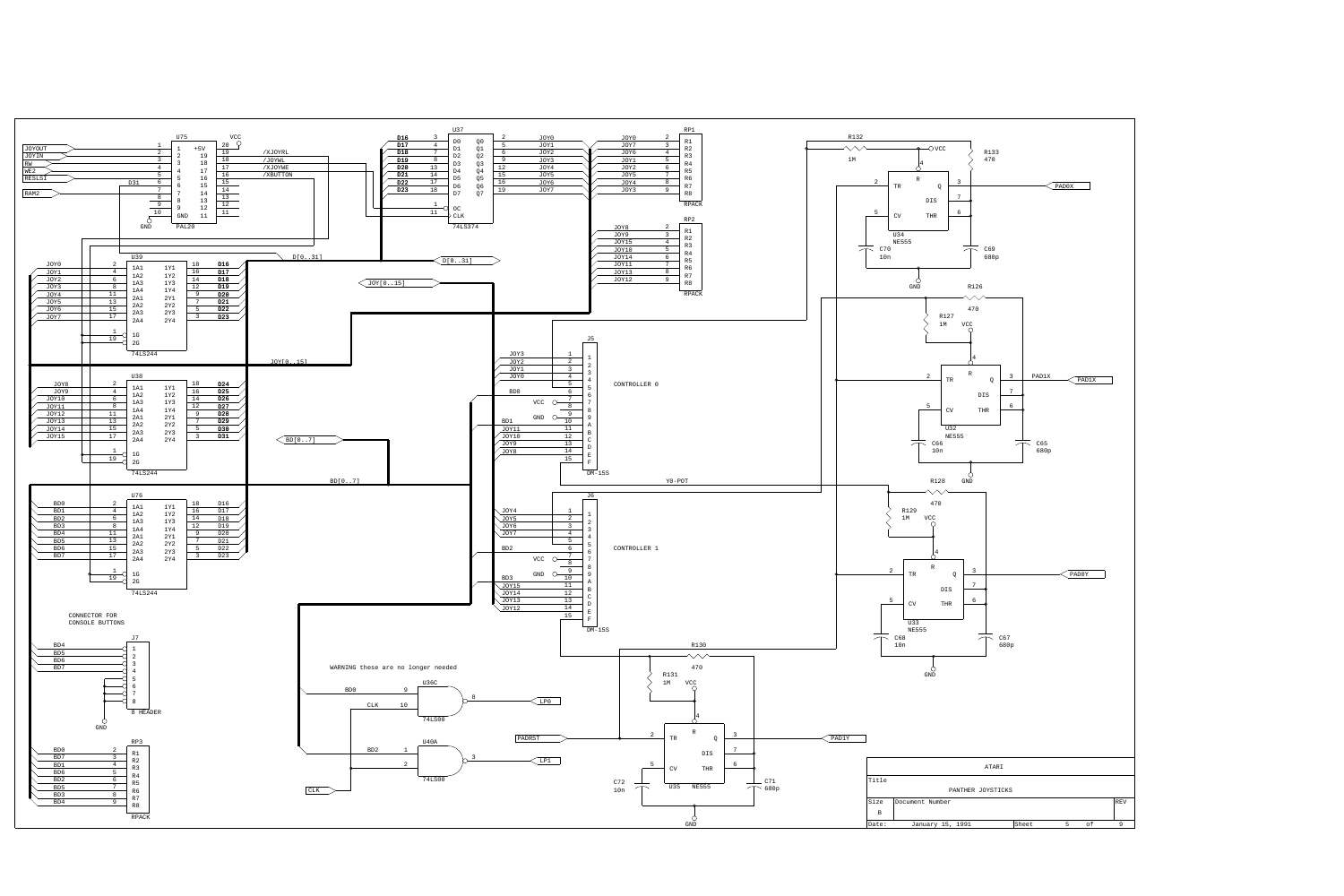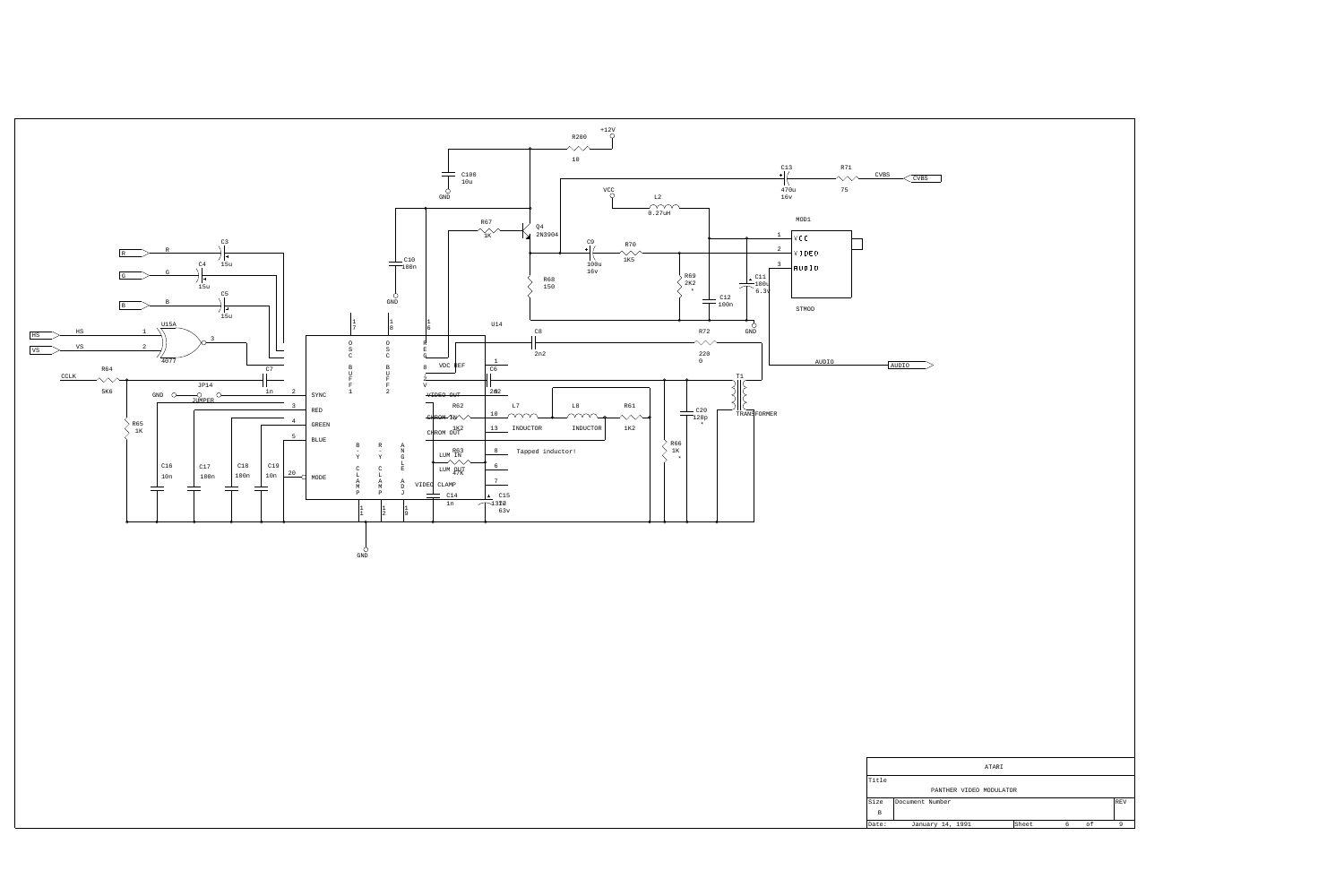| CVBS                  | CVBS            |                         |  |  |       |  |        |  |               |  |
|-----------------------|-----------------|-------------------------|--|--|-------|--|--------|--|---------------|--|
|                       |                 |                         |  |  |       |  |        |  |               |  |
|                       |                 |                         |  |  |       |  |        |  |               |  |
|                       | AUDIO           |                         |  |  |       |  |        |  |               |  |
|                       |                 |                         |  |  |       |  |        |  |               |  |
|                       |                 |                         |  |  |       |  |        |  |               |  |
|                       |                 |                         |  |  |       |  |        |  |               |  |
|                       |                 |                         |  |  |       |  |        |  |               |  |
|                       |                 |                         |  |  |       |  |        |  |               |  |
|                       |                 |                         |  |  |       |  |        |  |               |  |
|                       |                 |                         |  |  |       |  |        |  |               |  |
| ATARI<br>Title        |                 |                         |  |  |       |  |        |  |               |  |
| Size                  | Document Number | PANTHER VIDEO MODULATOR |  |  |       |  |        |  | REV           |  |
| $\mathbf{B}$<br>Date: |                 | January 14, 1991        |  |  | Sheet |  | $6$ of |  | $\frac{9}{2}$ |  |
|                       |                 |                         |  |  |       |  |        |  |               |  |

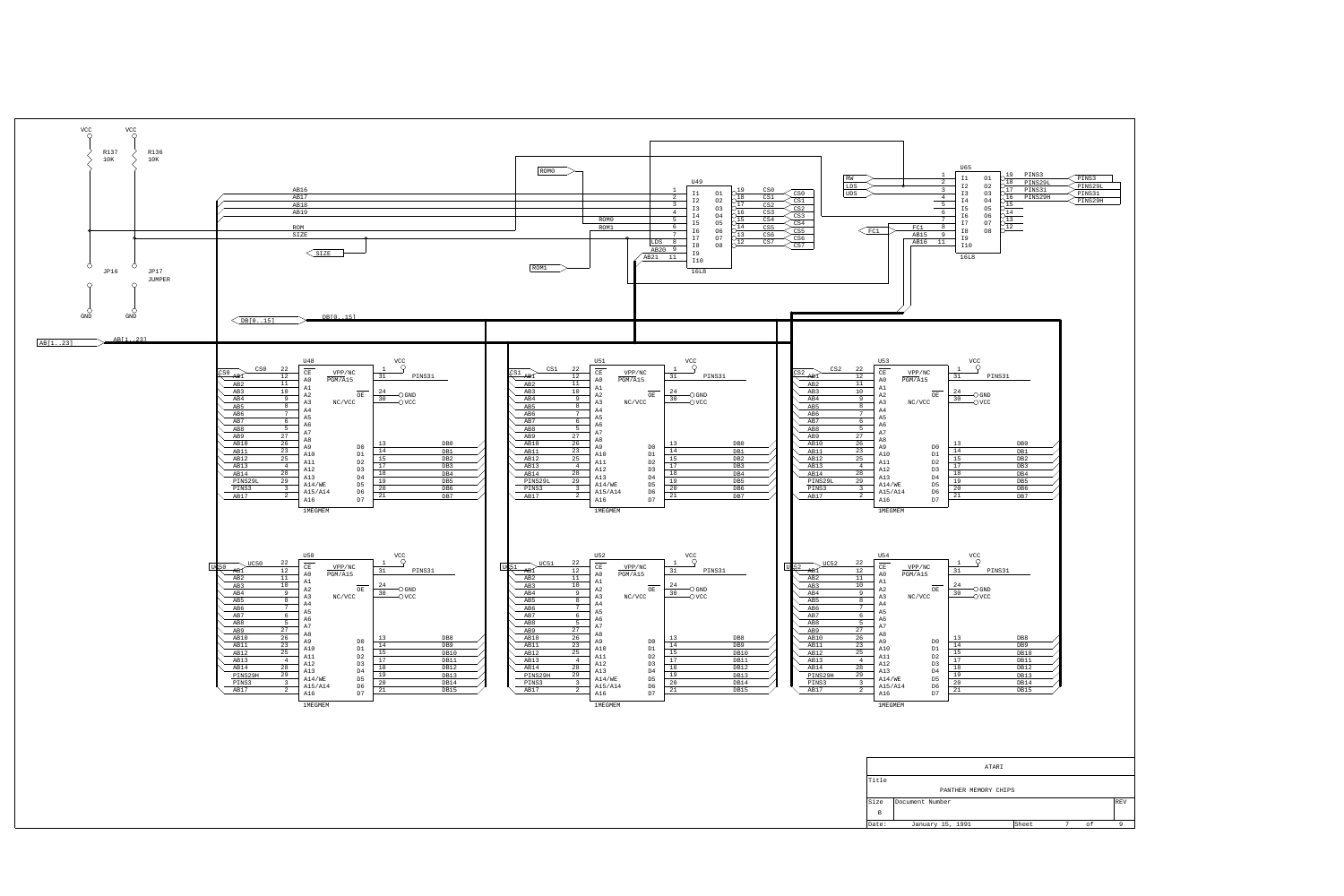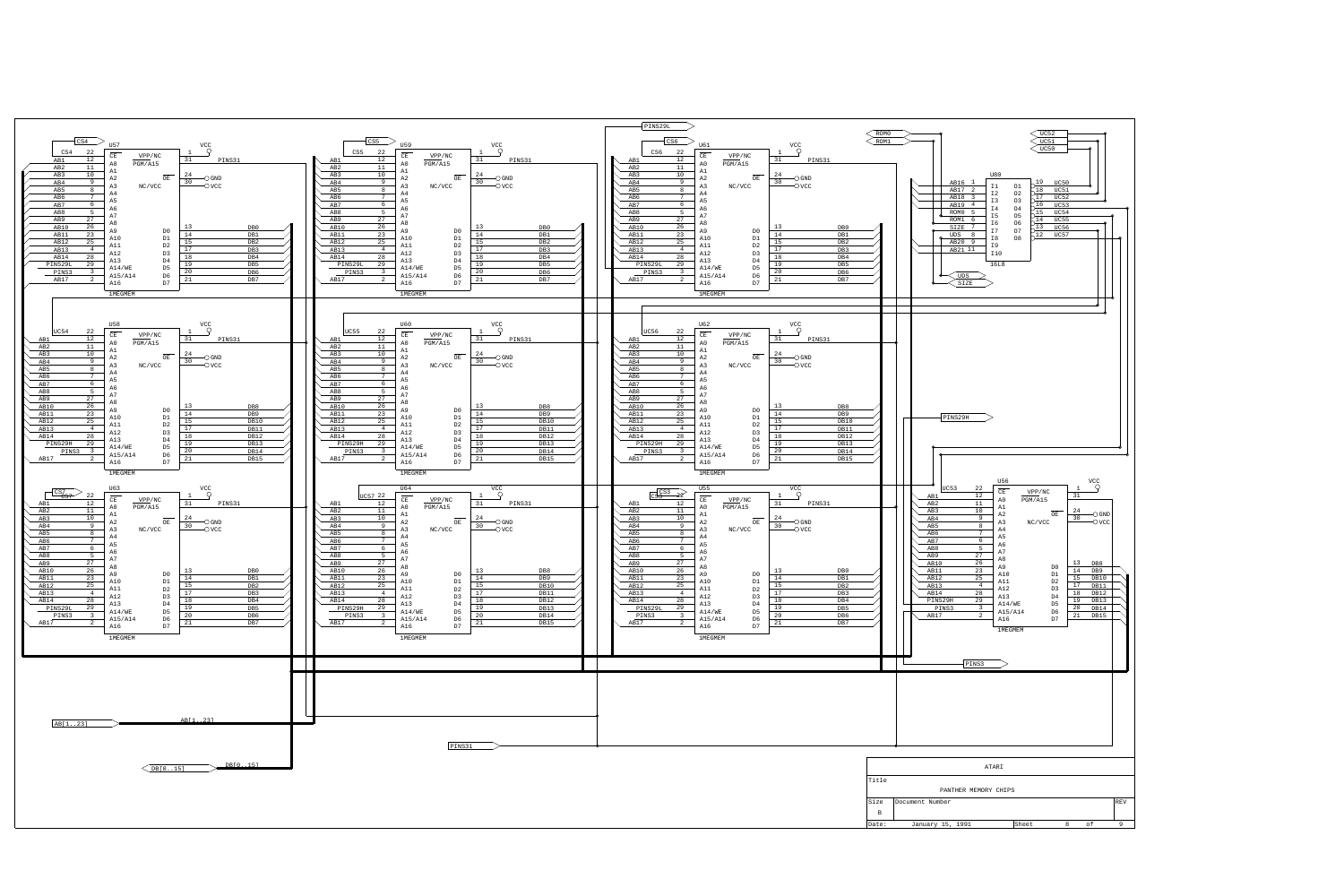